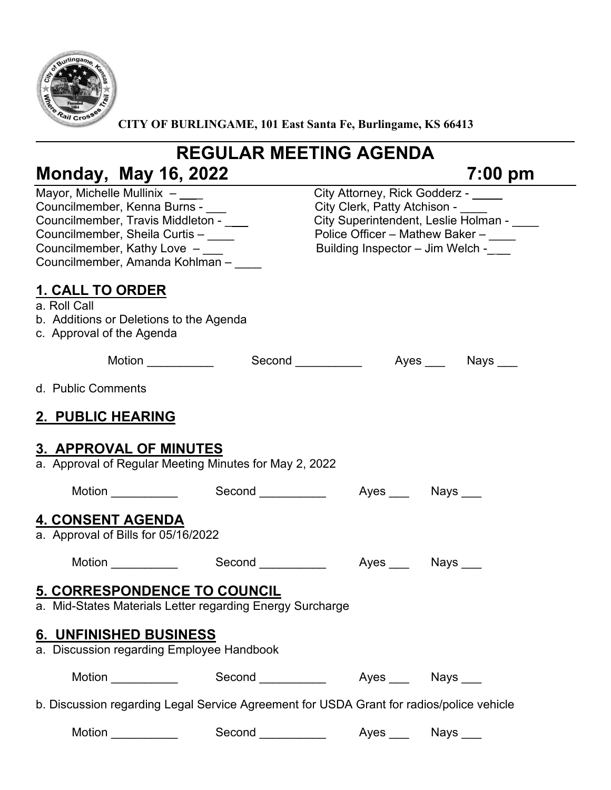

CITY OF BURLINGAME, 101 East Santa Fe, Burlingame, KS 66413

# **REGULAR MEETING AGENDA Monday, May 16, 2022 7:00 pm**

| Mayor, Michelle Mullinix $-$ ___<br>Councilmember, Kenna Burns -<br>Councilmember, Travis Middleton -<br>Councilmember, Sheila Curtis -<br>Councilmember, Kathy Love -<br>Councilmember, Amanda Kohlman - ___ |                                                               | City Attorney, Rick Godderz - ____<br>City Clerk, Patty Atchison -<br>City Superintendent, Leslie Holman - ____<br>Police Officer - Mathew Baker - ___<br>Building Inspector - Jim Welch - |  |  |
|---------------------------------------------------------------------------------------------------------------------------------------------------------------------------------------------------------------|---------------------------------------------------------------|--------------------------------------------------------------------------------------------------------------------------------------------------------------------------------------------|--|--|
| <u>1. CALL TO ORDER</u><br>a. Roll Call<br>b. Additions or Deletions to the Agenda<br>c. Approval of the Agenda                                                                                               |                                                               |                                                                                                                                                                                            |  |  |
|                                                                                                                                                                                                               | Motion _____________  Second ____________  Ayes ____ Nays ___ |                                                                                                                                                                                            |  |  |
| d. Public Comments                                                                                                                                                                                            |                                                               |                                                                                                                                                                                            |  |  |
| 2. PUBLIC HEARING                                                                                                                                                                                             |                                                               |                                                                                                                                                                                            |  |  |
| <b>3. APPROVAL OF MINUTES</b><br>a. Approval of Regular Meeting Minutes for May 2, 2022<br>Motion ___________<br>4. CONSENT AGENDA<br>a. Approval of Bills for 05/16/2022                                     |                                                               | Second _____________  Ayes ____ Nays ___                                                                                                                                                   |  |  |
| <b>Motion</b>                                                                                                                                                                                                 |                                                               |                                                                                                                                                                                            |  |  |
| <b>5. CORRESPONDENCE TO COUNCIL</b><br>a. Mid-States Materials Letter regarding Energy Surcharge<br>6. UNFINISHED BUSINESS<br>a. Discussion regarding Employee Handbook                                       |                                                               |                                                                                                                                                                                            |  |  |
| Motion ____________                                                                                                                                                                                           |                                                               | Second _____________  Ayes ____ Nays ___                                                                                                                                                   |  |  |
| b. Discussion regarding Legal Service Agreement for USDA Grant for radios/police vehicle                                                                                                                      |                                                               |                                                                                                                                                                                            |  |  |
| Motion __________                                                                                                                                                                                             | Second ___________                                            | Ayes ____ Nays ___                                                                                                                                                                         |  |  |
|                                                                                                                                                                                                               |                                                               |                                                                                                                                                                                            |  |  |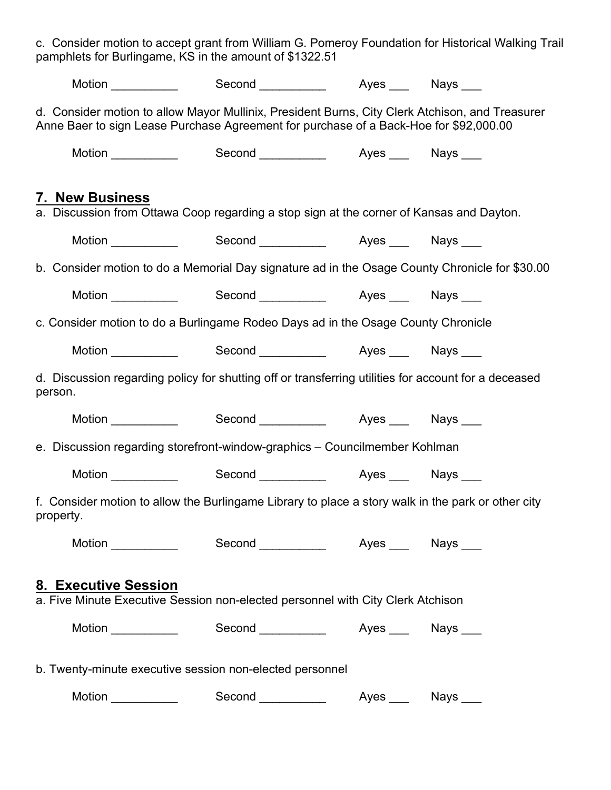c. Consider motion to accept grant from William G. Pomeroy Foundation for Historical Walking Trail pamphlets for Burlingame, KS in the amount of \$1322.51

|                                                                                                                                                                                          | Motion ____________   Second ___________   Ayes ___  Nays ___  |  |  |  |  |
|------------------------------------------------------------------------------------------------------------------------------------------------------------------------------------------|----------------------------------------------------------------|--|--|--|--|
| d. Consider motion to allow Mayor Mullinix, President Burns, City Clerk Atchison, and Treasurer<br>Anne Baer to sign Lease Purchase Agreement for purchase of a Back-Hoe for \$92,000.00 |                                                                |  |  |  |  |
|                                                                                                                                                                                          | Motion ____________   Second ___________   Ayes ____  Nays ___ |  |  |  |  |
| <b>7. New Business</b><br>a. Discussion from Ottawa Coop regarding a stop sign at the corner of Kansas and Dayton.                                                                       |                                                                |  |  |  |  |
|                                                                                                                                                                                          | Motion _____________  Second ____________  Ayes ____ Nays ___  |  |  |  |  |
| b. Consider motion to do a Memorial Day signature ad in the Osage County Chronicle for \$30.00                                                                                           |                                                                |  |  |  |  |
|                                                                                                                                                                                          | Motion ____________  Second ___________  Ayes ___ Nays ___     |  |  |  |  |
| c. Consider motion to do a Burlingame Rodeo Days ad in the Osage County Chronicle                                                                                                        |                                                                |  |  |  |  |
|                                                                                                                                                                                          | Motion ____________  Second ___________  Ayes ___ Nays ___     |  |  |  |  |
| d. Discussion regarding policy for shutting off or transferring utilities for account for a deceased<br>person.                                                                          |                                                                |  |  |  |  |
|                                                                                                                                                                                          | Motion ____________  Second ___________  Ayes ___ Nays ___     |  |  |  |  |
| e. Discussion regarding storefront-window-graphics - Councilmember Kohlman                                                                                                               |                                                                |  |  |  |  |
|                                                                                                                                                                                          | Motion ____________  Second ___________  Ayes ___ Nays ___     |  |  |  |  |
| f. Consider motion to allow the Burlingame Library to place a story walk in the park or other city<br>property.                                                                          |                                                                |  |  |  |  |
|                                                                                                                                                                                          | Motion ____________   Second ___________   Ayes ____  Nays ___ |  |  |  |  |
| <b>8. Executive Session</b><br>a. Five Minute Executive Session non-elected personnel with City Clerk Atchison                                                                           |                                                                |  |  |  |  |
|                                                                                                                                                                                          | Motion _____________  Second ___________  Ayes ___  Nays ___   |  |  |  |  |
| b. Twenty-minute executive session non-elected personnel                                                                                                                                 |                                                                |  |  |  |  |
| Motion ___________                                                                                                                                                                       |                                                                |  |  |  |  |